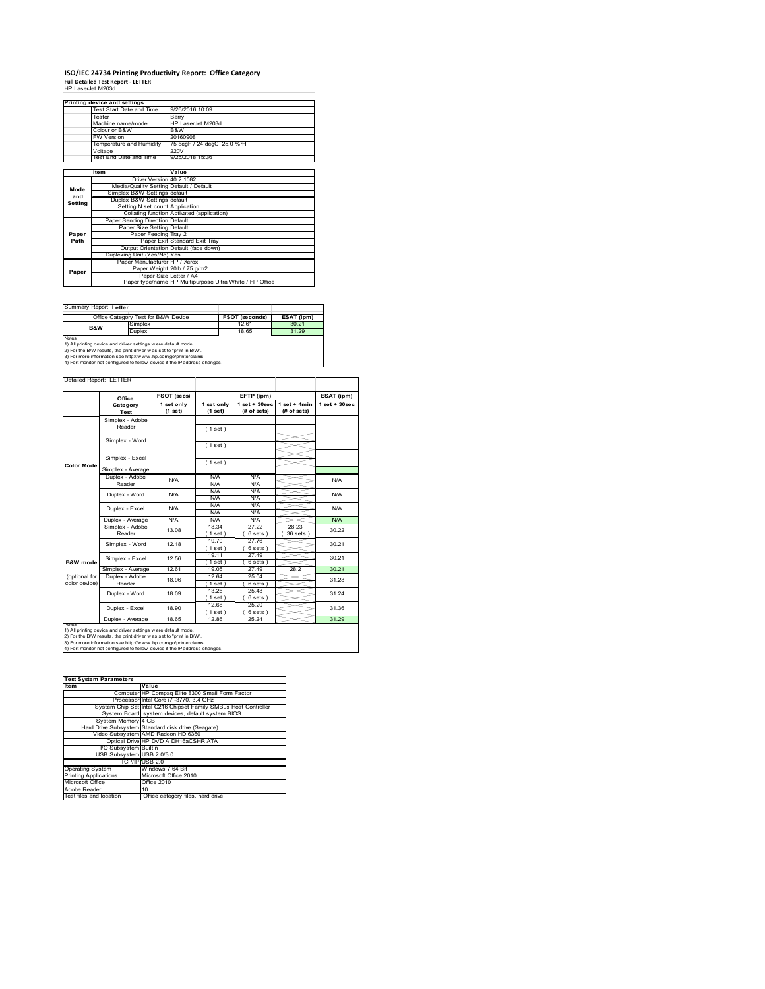# **ISO/IEC 24734 Printing Productivity Report: Office Category Full Detailed Test Report ‐ LETTER** HP LaserJet M203d

| HP Laser.let M203d |                                         |                                                         |
|--------------------|-----------------------------------------|---------------------------------------------------------|
|                    | Printing device and settings            |                                                         |
|                    | Test Start Date and Time                | 9/26/2016 10:09                                         |
|                    | Tester                                  | Barry                                                   |
|                    | Machine name/model                      | HP LaserJet M203d                                       |
|                    | Colour or B&W                           | B&W                                                     |
|                    | <b>FW Version</b>                       | 20160908                                                |
|                    | Temperature and Humidity                | 75 degF / 24 degC 25.0 %rH                              |
|                    | Voltage                                 | 220V                                                    |
|                    | Test End Date and Time                  | 9/25/2018 15:36                                         |
|                    |                                         |                                                         |
|                    | ltem                                    | Value                                                   |
|                    | Driver Version 40.2.1082                |                                                         |
| Mode               | Media/Quality Setting Default / Default |                                                         |
| and                | Simplex B&W Settings default            |                                                         |
| Setting            | Duplex B&W Settings default             |                                                         |
|                    | Setting N set count Application         |                                                         |
|                    |                                         | Collating function Activated (application)              |
|                    | Paper Sending Direction Default         |                                                         |
|                    | Paper Size Setting Default              |                                                         |
| Paper              | Paper Feeding Tray 2                    |                                                         |
| Path               |                                         | Paper Exit Standard Exit Tray                           |
|                    |                                         | Output Orientation Default (face down)                  |
|                    | Duplexing Unit (Yes/No) Yes             |                                                         |
|                    | Paper Manufacturer HP / Xerox           |                                                         |
| Paper              |                                         | Paper Weight 20lb / 75 g/m2                             |
|                    | Paper Size Letter / A4                  |                                                         |
|                    |                                         | Paper type/name HP Multipurpose Ultra White / HP Office |

Summary Report: **Letter**

|                                                                | Office Category Test for B&W Device                               | <b>FSOT (seconds)</b> | ESAT (ipm) |  |  |  |  |
|----------------------------------------------------------------|-------------------------------------------------------------------|-----------------------|------------|--|--|--|--|
| <b>B&amp;W</b>                                                 | Simplex                                                           | 1261                  | 30.21      |  |  |  |  |
|                                                                | Duplex                                                            | 18.65                 | 31.29      |  |  |  |  |
| Notes                                                          |                                                                   |                       |            |  |  |  |  |
| 1) All printing device and driver settings w ere default mode. |                                                                   |                       |            |  |  |  |  |
|                                                                | 2) For the RAM require the print driver was not to "print in RAA" |                       |            |  |  |  |  |

2) For the B/W results, the print driver w as set to "print in B/W".<br>3) For more information see http://w w w .hp.com/go/printerclaims.<br>4) Port monitor not configured to follow device if the IP address changes.

|                     | Office                    | FSOT (secs)           | EFTP (ipm)            |                                  |                               | ESAT (ipm)        |  |
|---------------------|---------------------------|-----------------------|-----------------------|----------------------------------|-------------------------------|-------------------|--|
|                     | Category<br>Test          | 1 set only<br>(1 set) | 1 set only<br>(1 set) | $1$ set $+30$ sec<br>(# of sets) | $1$ set + 4min<br>(# of sets) | $1$ set $+30$ sec |  |
|                     | Simplex - Adobe           |                       |                       |                                  |                               |                   |  |
|                     | Reader                    |                       | (1 set)               |                                  |                               |                   |  |
|                     | Simplex - Word            |                       |                       |                                  |                               |                   |  |
|                     |                           |                       | (1 set)               |                                  |                               |                   |  |
|                     | Simplex - Excel           |                       |                       |                                  |                               |                   |  |
| Color Mode          |                           |                       | (1 set)               |                                  |                               |                   |  |
|                     | Simplex - Average         |                       |                       |                                  |                               |                   |  |
|                     | Duplex - Adobe            | N/A                   | N/A                   | N/A                              |                               | N/A               |  |
|                     | Reader                    |                       | N/A                   | N/A                              |                               |                   |  |
|                     | Duplex - Word             | N/A                   | N/A                   | N/A                              |                               | N/A               |  |
|                     |                           |                       | N/A                   | N/A                              |                               |                   |  |
|                     | Duplex - Excel            | N/A                   | N/A                   | N/A                              |                               | N/A               |  |
|                     |                           |                       | N/A                   | N/A                              |                               |                   |  |
|                     | Duplex - Average          | N/A                   | N/A                   | N/A                              |                               | N/A               |  |
|                     | Simplex - Adobe<br>Reader | 13.08                 | 18.34                 | 27.22                            | 28 23                         | 30.22             |  |
|                     |                           |                       | 1 set )               | 6 sets                           | 36 sets                       |                   |  |
|                     | Simplex - Word            | 12.18                 | 19.70                 | 27.76                            |                               | 30.21             |  |
|                     |                           |                       | $1$ set)              | 6 sets)                          |                               |                   |  |
|                     | Simplex - Excel           | 12.56                 | 19.11                 | 27.49                            |                               | 30 21             |  |
| <b>B&amp;W</b> mode |                           |                       | $1$ set)              | 6 sets )                         |                               |                   |  |
|                     | Simplex - Average         | 12.61                 | 19.05                 | 27.49                            | 28.2                          | 30.21             |  |
| (optional for       | Duplex - Adobe            | 18.96                 | 12.64                 | 25.04                            |                               | 31.28             |  |
| color device)       | Reader                    |                       | $1$ set)              | 6 sets)                          |                               |                   |  |
|                     | Duplex - Word             | 18.09                 | 13.26                 | 25.48                            |                               | 31.24             |  |
|                     |                           |                       | 1 set)                | 6 sets                           |                               |                   |  |
|                     | Duplex - Excel            | 18.90                 | 12.68                 | 25.20                            |                               | 31.36             |  |
|                     |                           |                       | $1$ set)              | 6 sets)                          |                               |                   |  |
|                     | Duplex - Average          | 18.65                 | 12.86                 | 25.24                            |                               | 31.29             |  |

| <b>Test System Parameters</b> |                                                                 |  |  |  |
|-------------------------------|-----------------------------------------------------------------|--|--|--|
| <b>Item</b>                   | Value                                                           |  |  |  |
|                               | Computer HP Compaq Elite 8300 Small Form Factor                 |  |  |  |
|                               | Processor Intel Core i7 -3770, 3.4 GHz                          |  |  |  |
|                               | System Chip Set Intel C216 Chipset Family SMBus Host Controller |  |  |  |
|                               | System Board system devices, default system BIOS                |  |  |  |
| System Memory 4 GB            |                                                                 |  |  |  |
|                               | Hard Drive Subsystem Standard disk drive (Seagate)              |  |  |  |
|                               | Video Subsystem AMD Radeon HD 6350                              |  |  |  |
|                               | Optical Drive HP DVD A DH16aCSHR ATA                            |  |  |  |
| I/O Subsystem Builtin         |                                                                 |  |  |  |
| USB Subsystem USB 2.0/3.0     |                                                                 |  |  |  |
|                               | TCP/IP USB 2.0                                                  |  |  |  |
| <b>Operating System</b>       | Windows 7 64 Bit                                                |  |  |  |
| <b>Printing Applications</b>  | Microsoft Office 2010                                           |  |  |  |
| Microsoft Office              | Office 2010                                                     |  |  |  |
| Adobe Reader                  | 10                                                              |  |  |  |
| Test files and location       | Office category files, hard drive                               |  |  |  |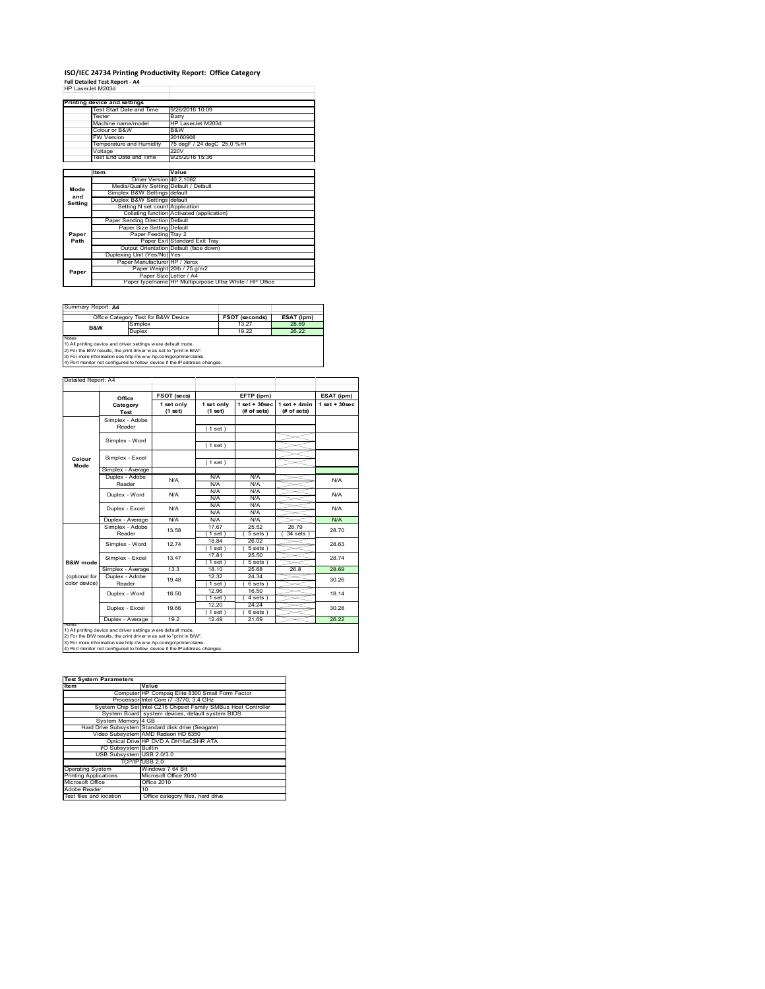## **ISO/IEC 24734 Printing Productivity Report: Office Category Full Detailed Test Report ‐ A4** HP LaserJet M203d

| HP LaserJet M203d |                                         |                                                         |  |
|-------------------|-----------------------------------------|---------------------------------------------------------|--|
|                   | Printing device and settings            |                                                         |  |
|                   | Test Start Date and Time                | 9/26/2016 10:09                                         |  |
|                   | Tester                                  | Barry                                                   |  |
|                   | Machine name/model                      | HP LaserJet M203d                                       |  |
|                   | Colour or B&W                           | B&W                                                     |  |
|                   | <b>FW Version</b>                       | 20160908                                                |  |
|                   | Temperature and Humidity                | 75 degF / 24 degC 25.0 %rH                              |  |
|                   | Voltage                                 | 220V                                                    |  |
|                   | Test End Date and Time                  | 9/25/2018 15:36                                         |  |
|                   |                                         |                                                         |  |
|                   | Item                                    | Value                                                   |  |
|                   | Driver Version 40 2 1082                |                                                         |  |
| Mode              | Media/Quality Setting Default / Default |                                                         |  |
| and               | Simplex B&W Settings default            |                                                         |  |
| Settina           | Duplex B&W Settings default             |                                                         |  |
|                   | Setting N set count Application         |                                                         |  |
|                   |                                         | Collating function Activated (application)              |  |
|                   | Paper Sending Direction Default         |                                                         |  |
|                   | Paper Size Setting Default              |                                                         |  |
| Paper             | Paper Feeding Tray 2                    |                                                         |  |
| Path              |                                         | Paper Exit Standard Exit Tray                           |  |
|                   |                                         | Output Orientation Default (face down)                  |  |
|                   | Duplexing Unit (Yes/No) Yes             |                                                         |  |
|                   | Paper Manufacturer HP / Xerox           |                                                         |  |
| Paper             |                                         | Paper Weight 20lb / 75 g/m2                             |  |
|                   | Paper Size Letter / A4                  |                                                         |  |
|                   |                                         | Paper type/name HP Multipurpose Ultra White / HP Office |  |

Summary Report: **A4**

|                                                                | Office Category Test for B&W Device                          | <b>FSOT (seconds)</b> | ESAT (ipm) |  |  |  |
|----------------------------------------------------------------|--------------------------------------------------------------|-----------------------|------------|--|--|--|
| B&W                                                            | Simplex                                                      | 13.27                 | 28.69      |  |  |  |
|                                                                | Duplex                                                       | 19 22                 | 26.22      |  |  |  |
| Notes                                                          |                                                              |                       |            |  |  |  |
| 1) All printing device and driver settings w ere default mode. |                                                              |                       |            |  |  |  |
|                                                                | To the first contract of the contract of the contract passed |                       |            |  |  |  |

1) All printing device and driver settings were default mode.<br>2) For the B/W results, the print driver was set to "print in B/W".<br>3) For more information see http://www.hp.com/go/printerclaims.<br>4) Port monitor not configur

|                | Office            | FSOT (secs)           |                       | EFTP (ipm)                       |                               | ESAT (ipm)        |  |
|----------------|-------------------|-----------------------|-----------------------|----------------------------------|-------------------------------|-------------------|--|
|                | Category<br>Test  | 1 set only<br>(1 set) | 1 set only<br>(1 set) | $1$ set $+30$ sec<br>(# of sets) | $1$ set + 4min<br>(# of sets) | $1$ set $+30$ sec |  |
|                | Simplex - Adobe   |                       |                       |                                  |                               |                   |  |
|                | Reader            |                       | (1 set)               |                                  |                               |                   |  |
|                | Simplex - Word    |                       |                       |                                  |                               |                   |  |
|                |                   |                       | (1 set)               |                                  |                               |                   |  |
|                |                   |                       |                       |                                  |                               |                   |  |
| Colour<br>Mode | Simplex - Excel   |                       | (1 set)               |                                  |                               |                   |  |
|                | Simplex - Average |                       |                       |                                  |                               |                   |  |
|                | Duplex - Adobe    | N/A                   | N/A                   | N/A                              |                               | N/A               |  |
|                | Reader            |                       | N/A                   | N/A                              |                               |                   |  |
|                | Duplex - Word     | N/A                   | N/A                   | N/A                              |                               | N/A               |  |
|                |                   |                       | N/A                   | N/A                              |                               |                   |  |
|                | Duplex - Excel    | N/A                   | N/A                   | N/A                              |                               | N/A               |  |
|                |                   |                       | N/A                   | N/A                              |                               |                   |  |
|                | Duplex - Average  | N/A                   | N/A                   | N/A                              |                               | N/A               |  |
|                | Simplex - Adobe   | 13.58                 | 1767                  | 25.52                            | 26.79                         | 28.70             |  |
|                | Reader            |                       | $1$ set)              | 5 sets)                          | 34 sets                       |                   |  |
|                | Simplex - Word    | 1274                  | 18.84                 | 26.02                            |                               | 28.63             |  |
|                |                   |                       | $1$ set)              | 5 sets)                          |                               |                   |  |
|                | Simplex - Excel   | 13 47                 | 17.81                 | 25.50                            |                               | 2874              |  |
| B&W mode       |                   |                       | $1$ set)              | 5 sets                           |                               |                   |  |
|                | Simplex - Average | 13.3                  | 18.10                 | 25.68                            | 26.8                          | 28.69             |  |
| (optional for  | Duplex - Adobe    | 1948                  | 12.32                 | 24.34                            |                               | 30.26             |  |
| color device)  | Reader            |                       | $1$ set)              | 6 sets)                          |                               |                   |  |
|                | Duplex - Word     | 18.50                 | 12.96                 | 16.50                            |                               | 18.14             |  |
|                |                   |                       | 1 set)                | 4 sets)                          |                               |                   |  |
|                | Duplex - Excel    | 19.66                 | 12 20                 | 24 24                            |                               | 30.28             |  |
|                |                   |                       | $1$ set $)$           | $6 sets$ )                       |                               |                   |  |
|                | Duplex - Average  | 19.2                  | 12.49                 | 21.69                            |                               | 26.22             |  |

1) All printing device and driver settings were default mode.<br>2) For the B/W results, the print driver was set to "print in B/W".<br>3) For more information see http://www.hp.com/go/printerclaims.<br>4) Port monitor not configur

| <b>Test System Parameters</b> |                                                                 |  |  |  |
|-------------------------------|-----------------------------------------------------------------|--|--|--|
| <b>Item</b>                   | Value                                                           |  |  |  |
|                               | Computer HP Compaq Elite 8300 Small Form Factor                 |  |  |  |
|                               | Processor Intel Core i7 -3770, 3.4 GHz                          |  |  |  |
|                               | System Chip Set Intel C216 Chipset Family SMBus Host Controller |  |  |  |
|                               | System Board system devices, default system BIOS                |  |  |  |
| System Memory 4 GB            |                                                                 |  |  |  |
|                               | Hard Drive Subsystem Standard disk drive (Seagate)              |  |  |  |
|                               | Video Subsystem AMD Radeon HD 6350                              |  |  |  |
|                               | Optical Drive HP DVD A DH16aCSHR ATA                            |  |  |  |
| I/O Subsystem Builtin         |                                                                 |  |  |  |
| USB Subsystem USB 2.0/3.0     |                                                                 |  |  |  |
|                               | TCP/IP USB 2.0                                                  |  |  |  |
| <b>Operating System</b>       | Windows 7 64 Bit                                                |  |  |  |
| <b>Printing Applications</b>  | Microsoft Office 2010                                           |  |  |  |
| Microsoft Office              | Office 2010                                                     |  |  |  |
| Adobe Reader                  | 10                                                              |  |  |  |
| Test files and location       | Office category files, hard drive                               |  |  |  |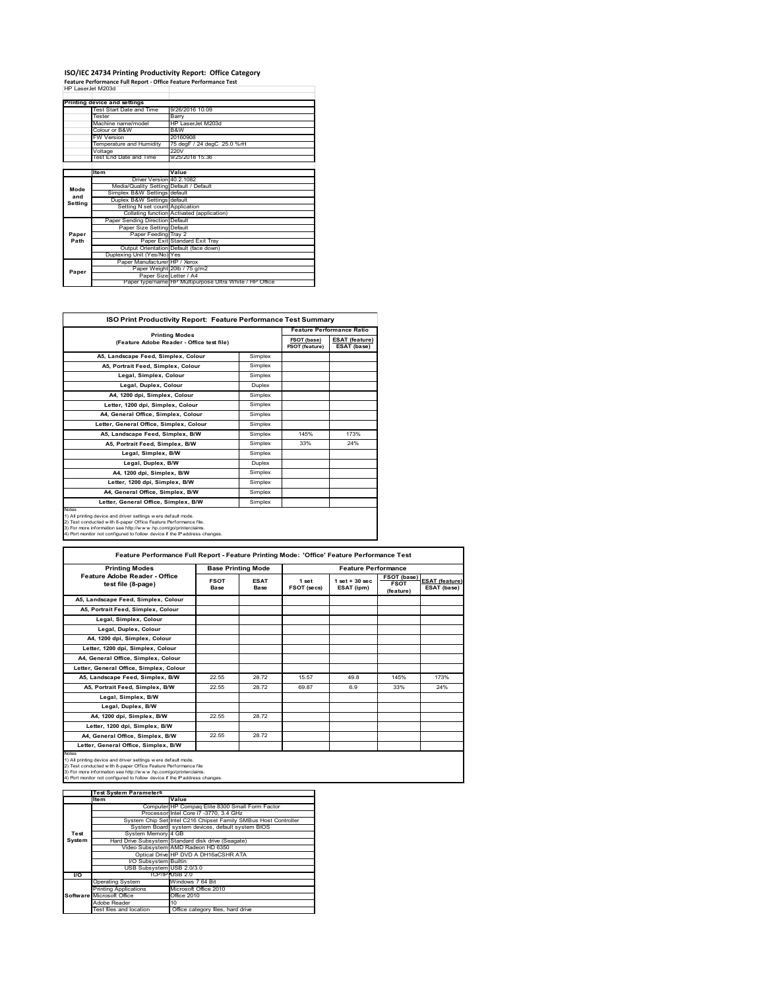## **ISO/IEC 24734 Printing Productivity Report: Office Category Feature Performance Full Report ‐ Office Feature Performance Test** HP LaserJet M203d

|         | Printing device and settings            |                                                         |  |
|---------|-----------------------------------------|---------------------------------------------------------|--|
|         | Test Start Date and Time                | 9/26/2016 10:09                                         |  |
|         | Tester                                  | Barry                                                   |  |
|         | Machine name/model                      | HP LaserJet M203d                                       |  |
|         | Colour or B&W                           | B&W                                                     |  |
|         | <b>FW Version</b>                       | 20160908                                                |  |
|         | Temperature and Humidity                | 75 degF / 24 degC 25.0 %rH                              |  |
|         | Voltage                                 | 220V                                                    |  |
|         | Test End Date and Time                  | 9/25/2018 15:36                                         |  |
|         |                                         |                                                         |  |
|         | <b>Item</b>                             | Value                                                   |  |
|         | Driver Version 40.2.1082                |                                                         |  |
| Mode    | Media/Quality Setting Default / Default |                                                         |  |
| and     | Simplex B&W Settings default            |                                                         |  |
| Setting | Duplex B&W Settings default             |                                                         |  |
|         | Setting N set count Application         |                                                         |  |
|         |                                         | Collating function Activated (application)              |  |
|         | Paper Sending Direction Default         |                                                         |  |
|         | Paper Size Setting Default              |                                                         |  |
| Paper   | Paper Feeding Tray 2                    |                                                         |  |
| Path    |                                         | Paper Exit Standard Exit Tray                           |  |
|         |                                         | Output Orientation Default (face down)                  |  |
|         | Duplexing Unit (Yes/No) Yes             |                                                         |  |
|         | Paper Manufacturer HP / Xerox           |                                                         |  |
| Paper   |                                         | Paper Weight 20lb / 75 g/m2                             |  |
|         | Paper Size Letter / A4                  |                                                         |  |
|         |                                         | Paper type/name HP Multipurpose Ultra White / HP Office |  |

H

| <b>ISO Print Productivity Report: Feature Performance Test Summary</b>                                                                                                                                                                                                                      |               |                                      |                                      |  |
|---------------------------------------------------------------------------------------------------------------------------------------------------------------------------------------------------------------------------------------------------------------------------------------------|---------------|--------------------------------------|--------------------------------------|--|
| <b>Printing Modes</b>                                                                                                                                                                                                                                                                       |               | <b>Feature Performance Ratio</b>     |                                      |  |
| (Feature Adobe Reader - Office test file)                                                                                                                                                                                                                                                   |               | FSOT (base)<br><b>FSOT (feature)</b> | <b>ESAT (feature)</b><br>ESAT (base) |  |
| A5, Landscape Feed, Simplex, Colour                                                                                                                                                                                                                                                         | Simplex       |                                      |                                      |  |
| A5, Portrait Feed, Simplex, Colour                                                                                                                                                                                                                                                          | Simplex       |                                      |                                      |  |
| Legal, Simplex, Colour                                                                                                                                                                                                                                                                      | Simplex       |                                      |                                      |  |
| Legal, Duplex, Colour                                                                                                                                                                                                                                                                       | <b>Duplex</b> |                                      |                                      |  |
| A4, 1200 dpi, Simplex, Colour                                                                                                                                                                                                                                                               | Simplex       |                                      |                                      |  |
| Letter, 1200 dpi. Simplex, Colour                                                                                                                                                                                                                                                           | Simplex       |                                      |                                      |  |
| A4, General Office, Simplex, Colour                                                                                                                                                                                                                                                         | Simplex       |                                      |                                      |  |
| Letter, General Office, Simplex, Colour                                                                                                                                                                                                                                                     | Simplex       |                                      |                                      |  |
| A5, Landscape Feed, Simplex, B/W                                                                                                                                                                                                                                                            | Simplex       | 145%                                 | 173%                                 |  |
| A5, Portrait Feed, Simplex, B/W                                                                                                                                                                                                                                                             | Simplex       | 33%                                  | 24%                                  |  |
| Legal, Simplex, B/W                                                                                                                                                                                                                                                                         | Simplex       |                                      |                                      |  |
| Legal, Duplex, B/W                                                                                                                                                                                                                                                                          | <b>Duplex</b> |                                      |                                      |  |
| A4, 1200 dpi, Simplex, B/W                                                                                                                                                                                                                                                                  | Simplex       |                                      |                                      |  |
| Letter, 1200 dpi, Simplex, B/W                                                                                                                                                                                                                                                              | Simplex       |                                      |                                      |  |
| A4, General Office, Simplex, B/W                                                                                                                                                                                                                                                            | Simplex       |                                      |                                      |  |
| Letter, General Office, Simplex, B/W                                                                                                                                                                                                                                                        | Simplex       |                                      |                                      |  |
| Notes<br>1) All printing device and driver settings w ere default mode.<br>2) Test conducted with 8-paper Office Feature Performance file.<br>3) For more information see http://www.hp.com/go/printerclaims.<br>4) Port monitor not configured to follow device if the IP address changes. |               |                                      |                                      |  |

| Feature Performance Full Report - Feature Printing Mode: 'Office' Feature Performance Test                                                                                                                                                                                                 |                     |                           |                      |                                  |                                                |                                      |  |
|--------------------------------------------------------------------------------------------------------------------------------------------------------------------------------------------------------------------------------------------------------------------------------------------|---------------------|---------------------------|----------------------|----------------------------------|------------------------------------------------|--------------------------------------|--|
| <b>Printing Modes</b>                                                                                                                                                                                                                                                                      |                     | <b>Base Printing Mode</b> |                      | <b>Feature Performance</b>       |                                                |                                      |  |
| Feature Adobe Reader - Office<br>test file (8-page)                                                                                                                                                                                                                                        | <b>FSOT</b><br>Base | <b>ESAT</b><br>Base       | 1 set<br>FSOT (secs) | $1$ set $+30$ sec.<br>ESAT (ipm) | <b>FSOT (base)</b><br><b>FSOT</b><br>(feature) | <b>ESAT (feature)</b><br>ESAT (base) |  |
| A5, Landscape Feed, Simplex, Colour                                                                                                                                                                                                                                                        |                     |                           |                      |                                  |                                                |                                      |  |
| A5, Portrait Feed, Simplex, Colour                                                                                                                                                                                                                                                         |                     |                           |                      |                                  |                                                |                                      |  |
| Legal, Simplex, Colour                                                                                                                                                                                                                                                                     |                     |                           |                      |                                  |                                                |                                      |  |
| Legal, Duplex, Colour                                                                                                                                                                                                                                                                      |                     |                           |                      |                                  |                                                |                                      |  |
| A4, 1200 dpi, Simplex, Colour                                                                                                                                                                                                                                                              |                     |                           |                      |                                  |                                                |                                      |  |
| Letter, 1200 dpi, Simplex, Colour                                                                                                                                                                                                                                                          |                     |                           |                      |                                  |                                                |                                      |  |
| A4, General Office, Simplex, Colour                                                                                                                                                                                                                                                        |                     |                           |                      |                                  |                                                |                                      |  |
| Letter, General Office, Simplex, Colour                                                                                                                                                                                                                                                    |                     |                           |                      |                                  |                                                |                                      |  |
| A5, Landscape Feed, Simplex, B/W                                                                                                                                                                                                                                                           | 22.55               | 28.72                     | 15.57                | 49.8                             | 145%                                           | 173%                                 |  |
| A5, Portrait Feed, Simplex, B/W                                                                                                                                                                                                                                                            | 22.55               | 28.72                     | 69.87                | 69                               | 33%                                            | 24%                                  |  |
| Legal, Simplex, B/W                                                                                                                                                                                                                                                                        |                     |                           |                      |                                  |                                                |                                      |  |
| Legal, Duplex, B/W                                                                                                                                                                                                                                                                         |                     |                           |                      |                                  |                                                |                                      |  |
| A4, 1200 dpi, Simplex, B/W                                                                                                                                                                                                                                                                 | 22.55               | 28.72                     |                      |                                  |                                                |                                      |  |
| Letter, 1200 dpi, Simplex, B/W                                                                                                                                                                                                                                                             |                     |                           |                      |                                  |                                                |                                      |  |
| A4. General Office. Simplex. B/W                                                                                                                                                                                                                                                           | 22.55               | 28.72                     |                      |                                  |                                                |                                      |  |
| Letter, General Office, Simplex, B/W                                                                                                                                                                                                                                                       |                     |                           |                      |                                  |                                                |                                      |  |
| Notes<br>1) All printing device and driver settings w ere default mode.<br>2) Test conducted with 8-paper Office Feature Performance file<br>3) For more information see http://www.hp.com/go/printerclaims.<br>4) Port monitor not configured to follow device if the IP address changes. |                     |                           |                      |                                  |                                                |                                      |  |

|           | <b>Test System Parameters</b> |                                                                 |  |  |
|-----------|-------------------------------|-----------------------------------------------------------------|--|--|
|           | Item                          | Value                                                           |  |  |
|           |                               | Computer HP Compaq Elite 8300 Small Form Factor                 |  |  |
|           |                               | Processor Intel Core i7 -3770, 3.4 GHz                          |  |  |
|           |                               | System Chip Set Intel C216 Chipset Family SMBus Host Controller |  |  |
|           |                               | System Board system devices, default system BIOS                |  |  |
| Test      | System Memory 4 GB            |                                                                 |  |  |
| System    |                               | Hard Drive Subsystem Standard disk drive (Seagate)              |  |  |
|           |                               | Video Subsystem AMD Radeon HD 6350                              |  |  |
|           |                               | Optical Drive HP DVD A DH16aCSHR ATA                            |  |  |
|           | I/O Subsystem Builtin         |                                                                 |  |  |
|           | USB Subsystem USB 2.0/3.0     |                                                                 |  |  |
| <b>VO</b> |                               | TCP/IPIUSB 2.0                                                  |  |  |
|           | <b>Operating System</b>       | Windows 7 64 Bit                                                |  |  |
|           | <b>Printing Applications</b>  | Microsoft Office 2010                                           |  |  |
|           | Software Microsoft Office     | Office 2010                                                     |  |  |
|           | Adobe Reader                  | 10                                                              |  |  |
|           | Test files and location       | Office category files, hard drive                               |  |  |
|           |                               |                                                                 |  |  |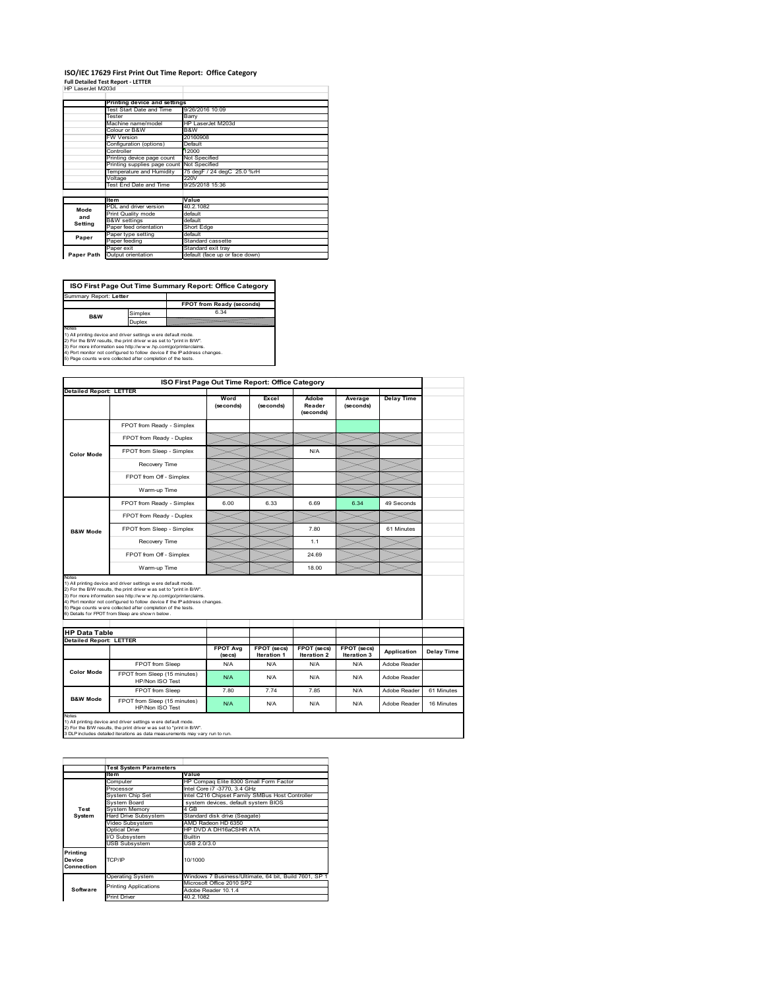#### **ISO/IEC 17629 First Print Out Time Report: Office Category Full Detailed Test Report ‐ LETTER**

| Full Detailed Test Report - LETTER |                                            |                                |  |  |  |
|------------------------------------|--------------------------------------------|--------------------------------|--|--|--|
| HP LaserJet M203d                  |                                            |                                |  |  |  |
|                                    |                                            |                                |  |  |  |
|                                    | Printing device and settings               |                                |  |  |  |
|                                    | Test Start Date and Time                   | 9/26/2016 10:09                |  |  |  |
|                                    | Tester                                     | Barry                          |  |  |  |
|                                    | Machine name/model                         | HP LaserJet M203d              |  |  |  |
|                                    | Colour or B&W                              | B&W                            |  |  |  |
|                                    | <b>FW Version</b>                          | 20160908                       |  |  |  |
|                                    | Configuration (options)                    | Default                        |  |  |  |
|                                    | Controller                                 | 12000                          |  |  |  |
|                                    | Printing device page count                 | Not Specified                  |  |  |  |
|                                    | Printing supplies page count Not Specified |                                |  |  |  |
|                                    | Temperature and Humidity                   | 75 degF / 24 degC 25.0 %rH     |  |  |  |
|                                    | Voltage                                    | 220V                           |  |  |  |
|                                    | Test End Date and Time                     | 9/25/2018 15:36                |  |  |  |
|                                    |                                            |                                |  |  |  |
|                                    | <b>Item</b>                                | Value                          |  |  |  |
| Mode                               | PDL and driver version                     | 40.2.1082                      |  |  |  |
| and                                | Print Quality mode                         | default                        |  |  |  |
| Setting                            | <b>B&amp;W</b> settings                    | default                        |  |  |  |
|                                    | Paper feed orientation                     | <b>Short Edge</b>              |  |  |  |
| Paper                              | Paper type setting                         | default                        |  |  |  |
|                                    | Paper feeding                              | Standard cassette              |  |  |  |
|                                    | Paper exit                                 | Standard exit trav             |  |  |  |
| Paper Path                         | Output orientation                         | default (face up or face down) |  |  |  |
|                                    |                                            |                                |  |  |  |

**FPOT from Ready (seconds)**<br>
Simplex 6.34 **ISO First Page Out Time Summary Report: Office Category** t: Letter

**B&W**

**Duplex**<br>Notes<br>1) All printing device and driver settings were default mode.<br>2) For the BM results, the print driver was set to "print in BM".<br>4) For more information see http://www.hp.com/golprinterclaims.<br>4) Port monitor

|                                                                                      |                                                                                                                                                                                                                                                                                                                                                                                                             |                            | ISO First Page Out Time Report: Office Category |                                   |                            |                   |            |
|--------------------------------------------------------------------------------------|-------------------------------------------------------------------------------------------------------------------------------------------------------------------------------------------------------------------------------------------------------------------------------------------------------------------------------------------------------------------------------------------------------------|----------------------------|-------------------------------------------------|-----------------------------------|----------------------------|-------------------|------------|
| <b>Detailed Report: LETTER</b>                                                       |                                                                                                                                                                                                                                                                                                                                                                                                             | Word<br>(seconds)          | Excel<br>(seconds)                              | Adobe<br>Reader<br>(seconds)      | Average<br>(seconds)       | <b>Delay Time</b> |            |
|                                                                                      | FPOT from Ready - Simplex                                                                                                                                                                                                                                                                                                                                                                                   |                            |                                                 |                                   |                            |                   |            |
|                                                                                      | FPOT from Ready - Duplex                                                                                                                                                                                                                                                                                                                                                                                    |                            |                                                 |                                   |                            |                   |            |
| <b>Color Mode</b>                                                                    | FPOT from Sleep - Simplex                                                                                                                                                                                                                                                                                                                                                                                   |                            |                                                 | N/A                               |                            |                   |            |
|                                                                                      | Recovery Time                                                                                                                                                                                                                                                                                                                                                                                               |                            |                                                 |                                   |                            |                   |            |
|                                                                                      | FPOT from Off - Simplex                                                                                                                                                                                                                                                                                                                                                                                     |                            |                                                 |                                   |                            |                   |            |
|                                                                                      | Warm-up Time                                                                                                                                                                                                                                                                                                                                                                                                |                            |                                                 |                                   |                            |                   |            |
|                                                                                      | FPOT from Ready - Simplex                                                                                                                                                                                                                                                                                                                                                                                   | 6.00                       | 6.33                                            | 6.69                              | 6.34                       | 49 Seconds        |            |
|                                                                                      | FPOT from Ready - Duplex                                                                                                                                                                                                                                                                                                                                                                                    |                            |                                                 |                                   |                            |                   |            |
| <b>B&amp;W Mode</b>                                                                  | FPOT from Sleep - Simplex                                                                                                                                                                                                                                                                                                                                                                                   |                            |                                                 | 7.80                              |                            | 61 Minutes        |            |
|                                                                                      | Recovery Time                                                                                                                                                                                                                                                                                                                                                                                               |                            |                                                 | 1.1                               |                            |                   |            |
|                                                                                      |                                                                                                                                                                                                                                                                                                                                                                                                             |                            |                                                 |                                   |                            |                   |            |
|                                                                                      | FPOT from Off - Simplex                                                                                                                                                                                                                                                                                                                                                                                     |                            |                                                 | 24 69                             |                            |                   |            |
|                                                                                      | Warm-up Time                                                                                                                                                                                                                                                                                                                                                                                                |                            |                                                 | 18.00                             |                            |                   |            |
|                                                                                      | 1) All printing device and driver settings w ere default mode.<br>2) For the B/W results, the print driver was set to "print in B/W".<br>3) For more information see http://www.hp.com/go/printerclaims.<br>4) Port monitor not configured to follow device if the IP address changes.<br>5) Page counts w ere collected after completion of the tests.<br>6) Details for FPOT from Sleep are show n below. |                            |                                                 |                                   |                            |                   |            |
|                                                                                      |                                                                                                                                                                                                                                                                                                                                                                                                             | <b>FPOT Avg</b><br>(se cs) | FPOT (secs)<br><b>Iteration 1</b>               | FPOT (secs)<br><b>Iteration 2</b> | FPOT (secs)<br>Iteration 3 | Application       | Delay Time |
|                                                                                      | FPOT from Sleep                                                                                                                                                                                                                                                                                                                                                                                             | N/A                        | N/A                                             | N/A                               | N/A                        | Adobe Reader      |            |
| Notes<br><b>HP Data Table</b><br><b>Detailed Report: LETTER</b><br><b>Color Mode</b> | FPOT from Sleep (15 minutes)<br>HP/Non ISO Test                                                                                                                                                                                                                                                                                                                                                             | N/A                        | N/A                                             | N/A                               | N/A                        | Adobe Reader      |            |
| <b>B&amp;W Mode</b>                                                                  | FPOT from Sleep                                                                                                                                                                                                                                                                                                                                                                                             | 7.80                       | 7.74                                            | 7.85                              | N/A                        | Adobe Reader      | 61 Minutes |

|                                  | <b>Test System Parameters</b> |                                                       |  |  |  |  |
|----------------------------------|-------------------------------|-------------------------------------------------------|--|--|--|--|
|                                  | <b>Item</b>                   | Value                                                 |  |  |  |  |
|                                  | Computer                      | HP Compag Elite 8300 Small Form Factor                |  |  |  |  |
|                                  | Processor                     | Intel Core i7 -3770, 3.4 GHz                          |  |  |  |  |
|                                  | System Chip Set               | Intel C216 Chipset Family SMBus Host Controller       |  |  |  |  |
|                                  | System Board                  | system devices, default system BIOS                   |  |  |  |  |
| Test                             | <b>System Memory</b>          | 4 GB                                                  |  |  |  |  |
| System                           | Hard Drive Subsystem          | Standard disk drive (Seagate)                         |  |  |  |  |
|                                  | Video Subsystem               | AMD Radeon HD 6350                                    |  |  |  |  |
|                                  | Optical Drive                 | HP DVD A DH16aCSHR ATA                                |  |  |  |  |
|                                  | I/O Subsystem                 | <b>Builtin</b>                                        |  |  |  |  |
|                                  | <b>USB Subsystem</b>          | USB 2.0/3.0                                           |  |  |  |  |
| Printing<br>Device<br>Connection | TCP/IP                        | 10/1000                                               |  |  |  |  |
|                                  | <b>Operating System</b>       | Windows 7 Business/Ultimate, 64 bit, Build 7601, SP 1 |  |  |  |  |
|                                  | <b>Printing Applications</b>  | Microsoft Office 2010 SP2                             |  |  |  |  |
| Software                         |                               | Adobe Reader 10.1.4                                   |  |  |  |  |
|                                  | <b>Print Driver</b>           | 40.2.1082                                             |  |  |  |  |